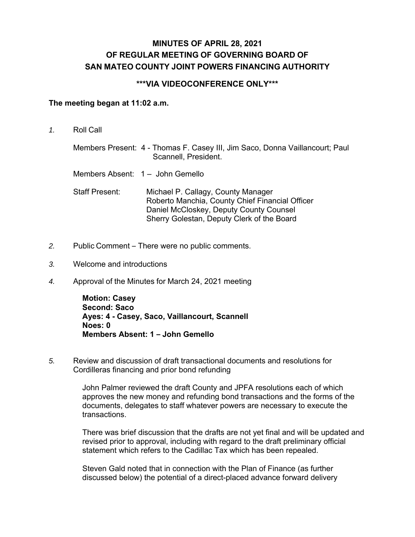## **MINUTES OF APRIL 28, 2021 OF REGULAR MEETING OF GOVERNING BOARD OF SAN MATEO COUNTY JOINT POWERS FINANCING AUTHORITY**

## **\*\*\*VIA VIDEOCONFERENCE ONLY\*\*\***

## **The meeting began at 11:02 a.m.**

*1.* Roll Call

Members Present: 4 - Thomas F. Casey III, Jim Saco, Donna Vaillancourt; Paul Scannell, President.

- Members Absent: 1 John Gemello
- Staff Present: Michael P. Callagy, County Manager Roberto Manchia, County Chief Financial Officer Daniel McCloskey, Deputy County Counsel Sherry Golestan, Deputy Clerk of the Board
- *2.* Public Comment There were no public comments.
- *3.* Welcome and introductions
- *4.* Approval of the Minutes for March 24, 2021 meeting

**Motion: Casey Second: Saco Ayes: 4 - Casey, Saco, Vaillancourt, Scannell Noes: 0 Members Absent: 1 – John Gemello** 

*5.* Review and discussion of draft transactional documents and resolutions for Cordilleras financing and prior bond refunding

> John Palmer reviewed the draft County and JPFA resolutions each of which approves the new money and refunding bond transactions and the forms of the documents, delegates to staff whatever powers are necessary to execute the transactions.

There was brief discussion that the drafts are not yet final and will be updated and revised prior to approval, including with regard to the draft preliminary official statement which refers to the Cadillac Tax which has been repealed.

Steven Gald noted that in connection with the Plan of Finance (as further discussed below) the potential of a direct-placed advance forward delivery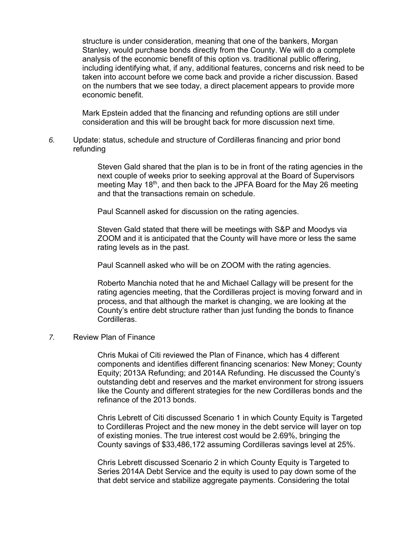structure is under consideration, meaning that one of the bankers, Morgan Stanley, would purchase bonds directly from the County. We will do a complete analysis of the economic benefit of this option vs. traditional public offering, including identifying what, if any, additional features, concerns and risk need to be taken into account before we come back and provide a richer discussion. Based on the numbers that we see today, a direct placement appears to provide more economic benefit.

Mark Epstein added that the financing and refunding options are still under consideration and this will be brought back for more discussion next time.

*6.* Update: status, schedule and structure of Cordilleras financing and prior bond refunding

> Steven Gald shared that the plan is to be in front of the rating agencies in the next couple of weeks prior to seeking approval at the Board of Supervisors meeting May 18<sup>th</sup>, and then back to the JPFA Board for the May 26 meeting and that the transactions remain on schedule.

Paul Scannell asked for discussion on the rating agencies.

Steven Gald stated that there will be meetings with S&P and Moodys via ZOOM and it is anticipated that the County will have more or less the same rating levels as in the past.

Paul Scannell asked who will be on ZOOM with the rating agencies.

Roberto Manchia noted that he and Michael Callagy will be present for the rating agencies meeting, that the Cordilleras project is moving forward and in process, and that although the market is changing, we are looking at the County's entire debt structure rather than just funding the bonds to finance Cordilleras.

## *7.* Review Plan of Finance

Chris Mukai of Citi reviewed the Plan of Finance, which has 4 different components and identifies different financing scenarios: New Money; County Equity; 2013A Refunding; and 2014A Refunding. He discussed the County's outstanding debt and reserves and the market environment for strong issuers like the County and different strategies for the new Cordilleras bonds and the refinance of the 2013 bonds.

Chris Lebrett of Citi discussed Scenario 1 in which County Equity is Targeted to Cordilleras Project and the new money in the debt service will layer on top of existing monies. The true interest cost would be 2.69%, bringing the County savings of \$33,486,172 assuming Cordilleras savings level at 25%.

Chris Lebrett discussed Scenario 2 in which County Equity is Targeted to Series 2014A Debt Service and the equity is used to pay down some of the that debt service and stabilize aggregate payments. Considering the total